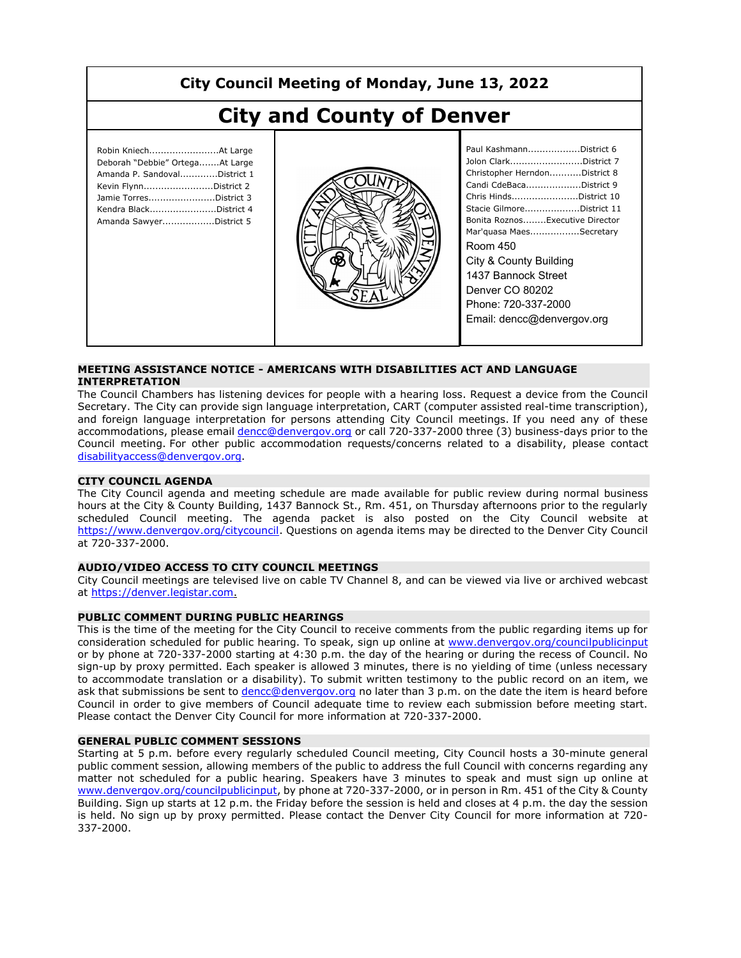## **City Council Meeting of Monday, June 13, 2022**

# **City and County of Denver**

| Robin KniechAt Large<br>Deborah "Debbie" OrtegaAt Large<br>Amanda P. SandovalDistrict 1<br>Kevin FlynnDistrict 2<br>Jamie TorresDistrict 3<br>Kendra BlackDistrict 4<br>Amanda SawyerDistrict 5 |
|-------------------------------------------------------------------------------------------------------------------------------------------------------------------------------------------------|
|                                                                                                                                                                                                 |



| Paul KashmannDistrict 6         |
|---------------------------------|
| Jolon ClarkDistrict 7           |
| Christopher HerndonDistrict 8   |
| Candi CdeBacaDistrict 9         |
| Chris HindsDistrict 10          |
| Stacie GilmoreDistrict 11       |
| Bonita RoznosExecutive Director |
| Mar'quasa MaesSecretary         |
| Room 450                        |
| City & County Building          |
| 1437 Bannock Street             |
| Denver CO 80202                 |
| Phone: 720-337-2000             |
| Email: dencc@denvergov.org      |

#### **MEETING ASSISTANCE NOTICE - AMERICANS WITH DISABILITIES ACT AND LANGUAGE INTERPRETATION**

The Council Chambers has listening devices for people with a hearing loss. Request a device from the Council Secretary. The City can provide sign language interpretation, CART (computer assisted real-time transcription), and foreign language interpretation for persons attending City Council meetings. If you need any of these accommodations, please email dencc@denvergov.org or call 720-337-2000 three (3) business-days prior to the Council meeting. For other public accommodation requests/concerns related to a disability, please contact disabilityaccess@denvergov.org.

#### **CITY COUNCIL AGENDA**

The City Council agenda and meeting schedule are made available for public review during normal business hours at the City & County Building, 1437 Bannock St., Rm. 451, on Thursday afternoons prior to the regularly scheduled Council meeting. The agenda packet is also posted on the City Council website at https://www.denvergov.org/citycouncil. Questions on agenda items may be directed to the Denver City Council at 720-337-2000.

#### **AUDIO/VIDEO ACCESS TO CITY COUNCIL MEETINGS**

City Council meetings are televised live on cable TV Channel 8, and can be viewed via live or archived webcast at https://denver.legistar.com.

#### **PUBLIC COMMENT DURING PUBLIC HEARINGS**

This is the time of the meeting for the City Council to receive comments from the public regarding items up for consideration scheduled for public hearing. To speak, sign up online at www.denvergov.org/councilpublicinput or by phone at 720-337-2000 starting at 4:30 p.m. the day of the hearing or during the recess of Council. No sign-up by proxy permitted. Each speaker is allowed 3 minutes, there is no yielding of time (unless necessary to accommodate translation or a disability). To submit written testimony to the public record on an item, we ask that submissions be sent to dencc@denvergov.org no later than 3 p.m. on the date the item is heard before Council in order to give members of Council adequate time to review each submission before meeting start. Please contact the Denver City Council for more information at 720-337-2000.

#### **GENERAL PUBLIC COMMENT SESSIONS**

Starting at 5 p.m. before every regularly scheduled Council meeting, City Council hosts a 30-minute general public comment session, allowing members of the public to address the full Council with concerns regarding any matter not scheduled for a public hearing. Speakers have 3 minutes to speak and must sign up online at www.denvergov.org/councilpublicinput, by phone at 720-337-2000, or in person in Rm. 451 of the City & County Building. Sign up starts at 12 p.m. the Friday before the session is held and closes at 4 p.m. the day the session is held. No sign up by proxy permitted. Please contact the Denver City Council for more information at 720- 337-2000.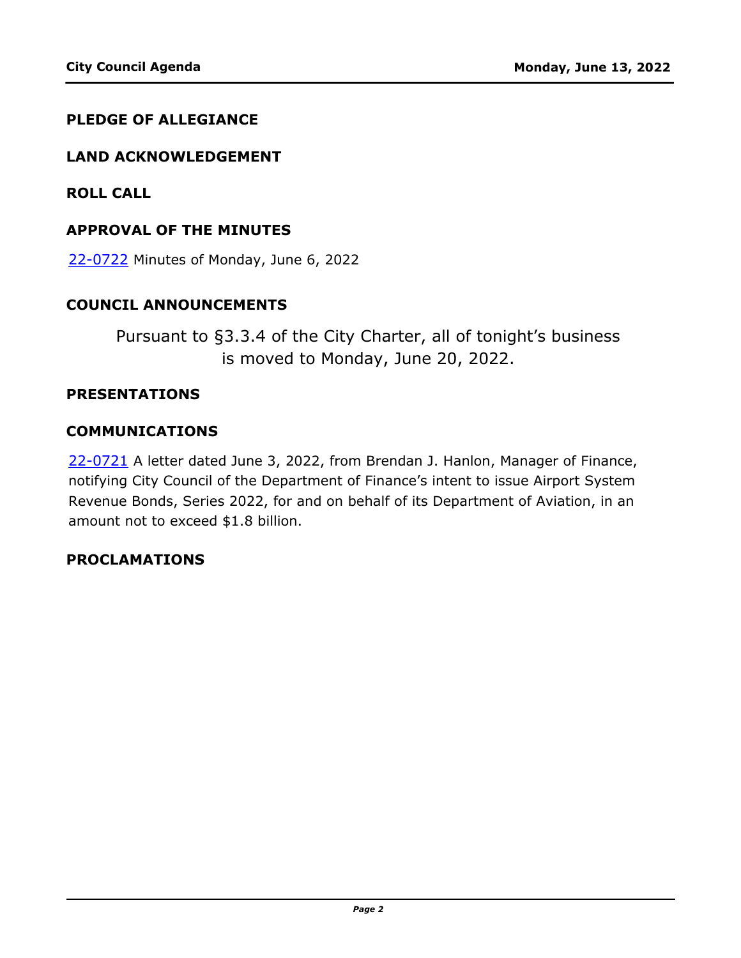### **PLEDGE OF ALLEGIANCE**

#### **LAND ACKNOWLEDGEMENT**

**ROLL CALL**

#### **APPROVAL OF THE MINUTES**

22-0722 [Minutes of Monday, June 6, 2022](http://denver.legistar.com/gateway.aspx?m=l&id=/matter.aspx?key=21789)

#### **COUNCIL ANNOUNCEMENTS**

Pursuant to §3.3.4 of the City Charter, all of tonight's business is moved to Monday, June 20, 2022.

#### **PRESENTATIONS**

#### **COMMUNICATIONS**

22-0721 A letter dated June 3, 2022, from Brendan J. Hanlon, Manager of Finance, [notifying City Council of the Department of Finance's intent to issue Airport System](http://denver.legistar.com/gateway.aspx?m=l&id=/matter.aspx?key=21788)  Revenue Bonds, Series 2022, for and on behalf of its Department of Aviation, in an amount not to exceed \$1.8 billion.

### **PROCLAMATIONS**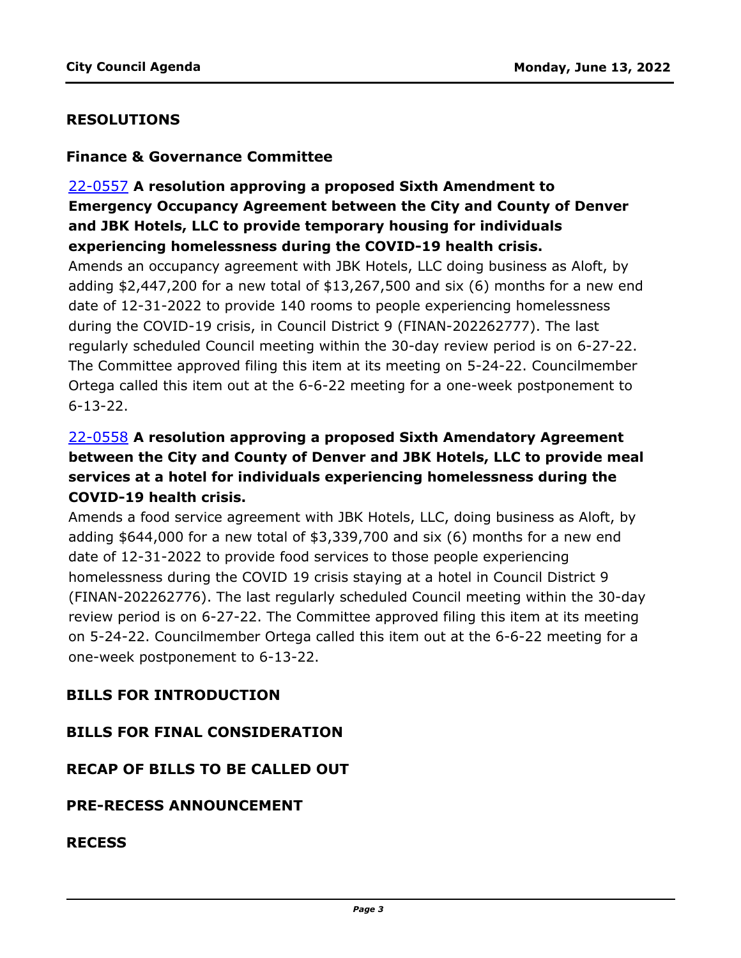### **RESOLUTIONS**

#### **Finance & Governance Committee**

## 22-0557 **A resolution approving a proposed Sixth Amendment to Emergency Occupancy Agreement between the City and County of Denver and JBK Hotels, LLC to provide temporary housing for individuals experiencing homelessness during the COVID-19 health crisis.**

Amends an occupancy agreement with JBK Hotels, LLC doing business as Aloft, by [adding \\$2,447,200 for a new total of \\$13,267,500 and six \(6\) months for a new end](http://denver.legistar.com/gateway.aspx?m=l&id=/matter.aspx?key=21624)  date of 12-31-2022 to provide 140 rooms to people experiencing homelessness during the COVID-19 crisis, in Council District 9 (FINAN-202262777). The last regularly scheduled Council meeting within the 30-day review period is on 6-27-22. The Committee approved filing this item at its meeting on 5-24-22. Councilmember Ortega called this item out at the 6-6-22 meeting for a one-week postponement to 6-13-22.

## 22-0558 **A resolution approving a proposed Sixth Amendatory Agreement between the City and County of Denver and JBK Hotels, LLC to provide meal services at a hotel for individuals experiencing homelessness during the COVID-19 health crisis.**

Amends a food service agreement with JBK Hotels, LLC, doing business as Aloft, by adding \$644,000 for a new total of \$3,339,700 and six (6) months for a new end date of 12-31-2022 to provide food services to those people experiencing homelessness during the COVID 19 crisis staying at a hotel in Council District 9 [\(FINAN-202262776\). The last regularly scheduled Council meeting within the 30-day](http://denver.legistar.com/gateway.aspx?m=l&id=/matter.aspx?key=21625)  review period is on 6-27-22. The Committee approved filing this item at its meeting on 5-24-22. Councilmember Ortega called this item out at the 6-6-22 meeting for a one-week postponement to 6-13-22.

### **BILLS FOR INTRODUCTION**

#### **BILLS FOR FINAL CONSIDERATION**

#### **RECAP OF BILLS TO BE CALLED OUT**

#### **PRE-RECESS ANNOUNCEMENT**

**RECESS**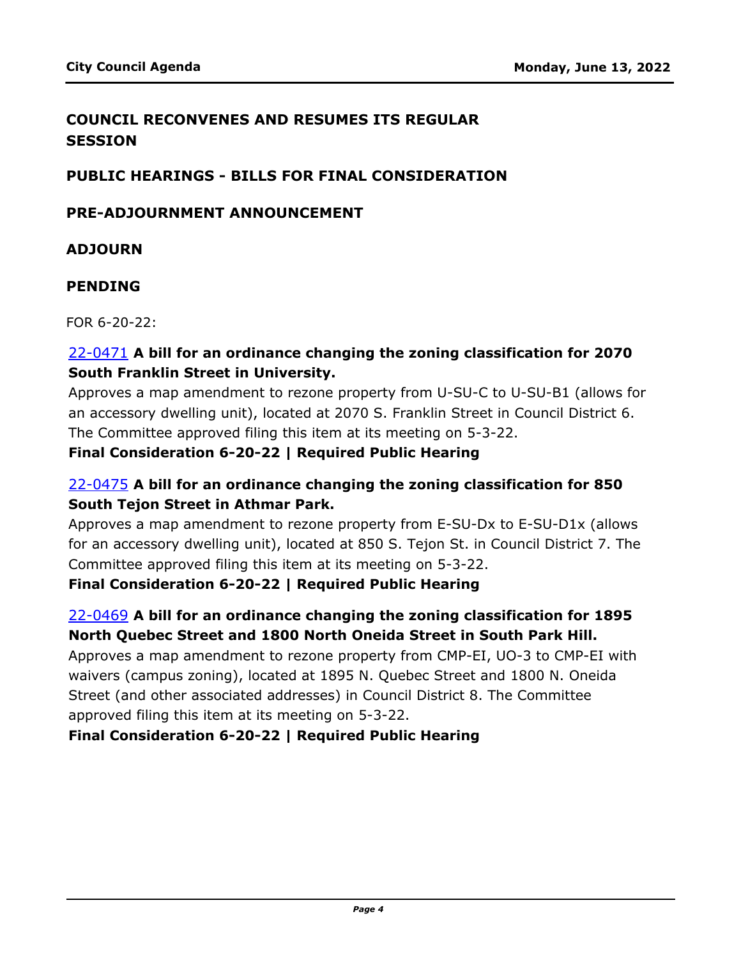## **COUNCIL RECONVENES AND RESUMES ITS REGULAR SESSION**

### **PUBLIC HEARINGS - BILLS FOR FINAL CONSIDERATION**

### **PRE-ADJOURNMENT ANNOUNCEMENT**

## **ADJOURN**

## **PENDING**

FOR 6-20-22:

## 22-0471 **A bill for an ordinance changing the zoning classification for 2070 South Franklin Street in University.**

[Approves a map amendment to rezone property from U-SU-C to U-SU-B1 \(allows for](http://denver.legistar.com/gateway.aspx?m=l&id=/matter.aspx?key=21538)  an accessory dwelling unit), located at 2070 S. Franklin Street in Council District 6. The Committee approved filing this item at its meeting on 5-3-22.

## **Final Consideration 6-20-22 | Required Public Hearing**

## 22-0475 **A bill for an ordinance changing the zoning classification for 850 South Tejon Street in Athmar Park.**

Approves a map amendment to rezone property from E-SU-Dx to E-SU-D1x (allows [for an accessory dwelling unit\), located at 850 S. Tejon St. in Council District 7. The](http://denver.legistar.com/gateway.aspx?m=l&id=/matter.aspx?key=21542)  Committee approved filing this item at its meeting on 5-3-22.

**Final Consideration 6-20-22 | Required Public Hearing**

## 22-0469 **A bill for an ordinance changing the zoning classification for 1895 North Quebec Street and 1800 North Oneida Street in South Park Hill.**

[Approves a map amendment to rezone property from CMP-EI, UO-3 to CMP-EI with](http://denver.legistar.com/gateway.aspx?m=l&id=/matter.aspx?key=21536)  waivers (campus zoning), located at 1895 N. Quebec Street and 1800 N. Oneida Street (and other associated addresses) in Council District 8. The Committee approved filing this item at its meeting on 5-3-22.

### **Final Consideration 6-20-22 | Required Public Hearing**